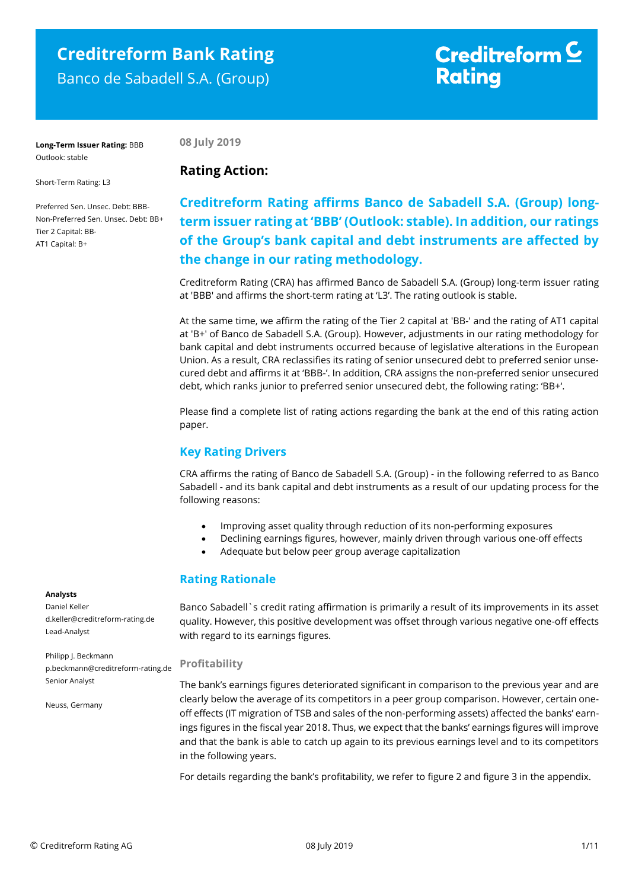## **Creditreform Bank Rating** Banco de Sabadell S.A. (Group)

# Creditreform  $\mathsf{\underline{\mathsf{C}}}$ **Rating**

**Long-Term Issuer Rating:** BBB Outlook: stable

**08 July 2019**

**Rating Action:** 

Short-Term Rating: L3

Preferred Sen. Unsec. Debt: BBB-Non-Preferred Sen. Unsec. Debt: BB+ Tier 2 Capital: BB-AT1 Capital: B+

## **Creditreform Rating affirms Banco de Sabadell S.A. (Group) longterm issuer rating at 'BBB' (Outlook: stable). In addition, our ratings of the Group's bank capital and debt instruments are affected by the change in our rating methodology.**

Creditreform Rating (CRA) has affirmed Banco de Sabadell S.A. (Group) long-term issuer rating at 'BBB' and affirms the short-term rating at 'L3'. The rating outlook is stable.

At the same time, we affirm the rating of the Tier 2 capital at 'BB-' and the rating of AT1 capital at 'B+' of Banco de Sabadell S.A. (Group). However, adjustments in our rating methodology for bank capital and debt instruments occurred because of legislative alterations in the European Union. As a result, CRA reclassifies its rating of senior unsecured debt to preferred senior unsecured debt and affirms it at 'BBB-'. In addition, CRA assigns the non-preferred senior unsecured debt, which ranks junior to preferred senior unsecured debt, the following rating: 'BB+'.

Please find a complete list of rating actions regarding the bank at the end of this rating action paper.

## **Key Rating Drivers**

CRA affirms the rating of Banco de Sabadell S.A. (Group) - in the following referred to as Banco Sabadell - and its bank capital and debt instruments as a result of our updating process for the following reasons:

- Improving asset quality through reduction of its non-performing exposures
- Declining earnings figures, however, mainly driven through various one-off effects
- Adequate but below peer group average capitalization

### **Rating Rationale**

Banco Sabadell`s credit rating affirmation is primarily a result of its improvements in its asset quality. However, this positive development was offset through various negative one-off effects with regard to its earnings figures.

#### **Profitability**

The bank's earnings figures deteriorated significant in comparison to the previous year and are clearly below the average of its competitors in a peer group comparison. However, certain oneoff effects (IT migration of TSB and sales of the non-performing assets) affected the banks' earnings figures in the fiscal year 2018. Thus, we expect that the banks' earnings figures will improve and that the bank is able to catch up again to its previous earnings level and to its competitors in the following years.

For details regarding the bank's profitability, we refer to figure 2 and figure 3 in the appendix.

#### **Analysts**

Daniel Keller d.keller@creditreform-rating.de Lead-Analyst

Philipp J. Beckmann p.beckmann@creditreform-rating.de Senior Analyst

Neuss, Germany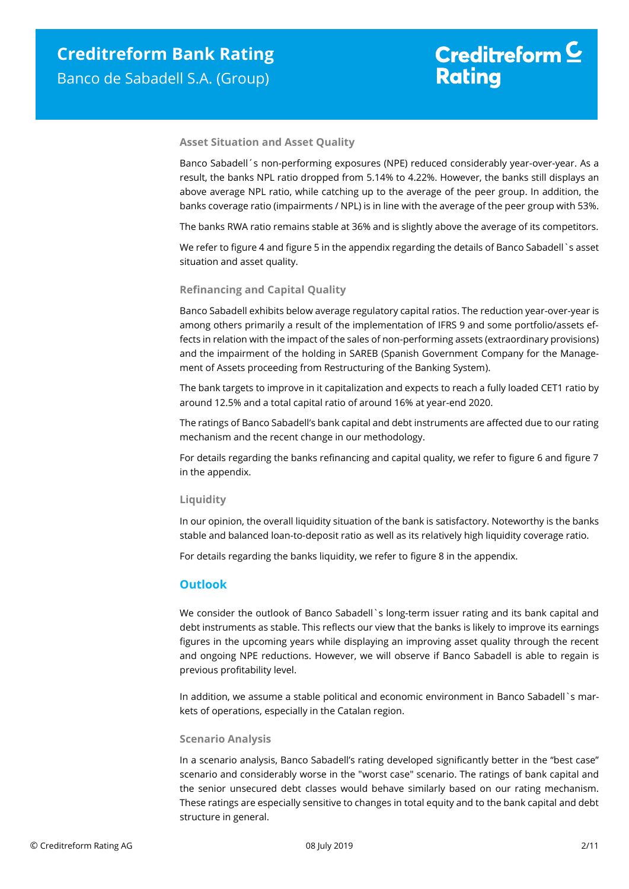# Creditreform  $\mathsf{\underline{\mathsf{C}}}$ **Rating**

#### **Asset Situation and Asset Quality**

Banco Sabadell´s non-performing exposures (NPE) reduced considerably year-over-year. As a result, the banks NPL ratio dropped from 5.14% to 4.22%. However, the banks still displays an above average NPL ratio, while catching up to the average of the peer group. In addition, the banks coverage ratio (impairments / NPL) is in line with the average of the peer group with 53%.

The banks RWA ratio remains stable at 36% and is slightly above the average of its competitors.

We refer to figure 4 and figure 5 in the appendix regarding the details of Banco Sabadell`s asset situation and asset quality.

#### **Refinancing and Capital Quality**

Banco Sabadell exhibits below average regulatory capital ratios. The reduction year-over-year is among others primarily a result of the implementation of IFRS 9 and some portfolio/assets effects in relation with the impact of the sales of non-performing assets (extraordinary provisions) and the impairment of the holding in SAREB (Spanish Government Company for the Management of Assets proceeding from Restructuring of the Banking System).

The bank targets to improve in it capitalization and expects to reach a fully loaded CET1 ratio by around 12.5% and a total capital ratio of around 16% at year-end 2020.

The ratings of Banco Sabadell's bank capital and debt instruments are affected due to our rating mechanism and the recent change in our methodology.

For details regarding the banks refinancing and capital quality, we refer to figure 6 and figure 7 in the appendix.

#### **Liquidity**

In our opinion, the overall liquidity situation of the bank is satisfactory. Noteworthy is the banks stable and balanced loan-to-deposit ratio as well as its relatively high liquidity coverage ratio.

For details regarding the banks liquidity, we refer to figure 8 in the appendix.

#### **Outlook**

We consider the outlook of Banco Sabadell`s long-term issuer rating and its bank capital and debt instruments as stable. This reflects our view that the banks is likely to improve its earnings figures in the upcoming years while displaying an improving asset quality through the recent and ongoing NPE reductions. However, we will observe if Banco Sabadell is able to regain is previous profitability level.

In addition, we assume a stable political and economic environment in Banco Sabadell`s markets of operations, especially in the Catalan region.

#### **Scenario Analysis**

In a scenario analysis, Banco Sabadell's rating developed significantly better in the "best case" scenario and considerably worse in the "worst case" scenario. The ratings of bank capital and the senior unsecured debt classes would behave similarly based on our rating mechanism. These ratings are especially sensitive to changes in total equity and to the bank capital and debt structure in general.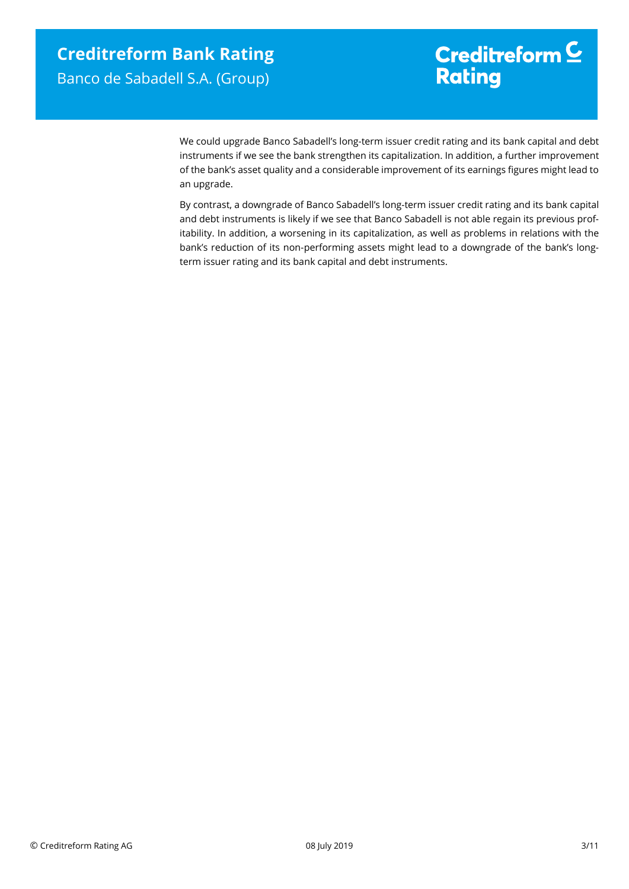# Creditreform  $\underline{\mathsf{C}}$ **Rating**

We could upgrade Banco Sabadell's long-term issuer credit rating and its bank capital and debt instruments if we see the bank strengthen its capitalization. In addition, a further improvement of the bank's asset quality and a considerable improvement of its earnings figures might lead to an upgrade.

By contrast, a downgrade of Banco Sabadell's long-term issuer credit rating and its bank capital and debt instruments is likely if we see that Banco Sabadell is not able regain its previous profitability. In addition, a worsening in its capitalization, as well as problems in relations with the bank's reduction of its non-performing assets might lead to a downgrade of the bank's longterm issuer rating and its bank capital and debt instruments.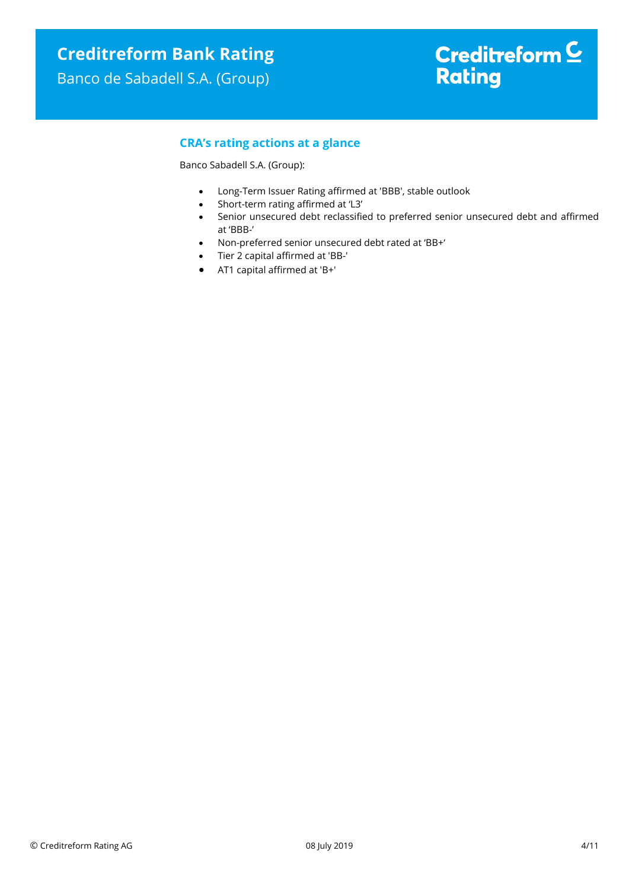## Banco de Sabadell S.A. (Group)

# Creditreform  $\underline{\mathsf{C}}$ **Rating**

## **CRA's rating actions at a glance**

Banco Sabadell S.A. (Group):

- Long-Term Issuer Rating affirmed at 'BBB', stable outlook
- Short-term rating affirmed at 'L3'
- Senior unsecured debt reclassified to preferred senior unsecured debt and affirmed at 'BBB-'
- Non-preferred senior unsecured debt rated at 'BB+'
- Tier 2 capital affirmed at 'BB-'
- AT1 capital affirmed at 'B+'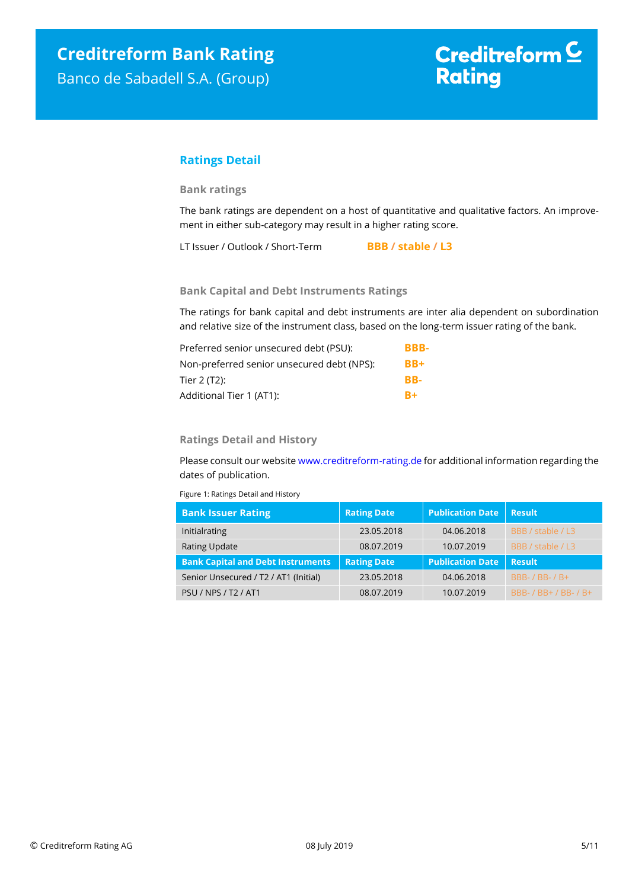### **Ratings Detail**

#### **Bank ratings**

The bank ratings are dependent on a host of quantitative and qualitative factors. An improvement in either sub-category may result in a higher rating score.

LT Issuer / Outlook / Short-Term **BBB / stable / L3**

#### **Bank Capital and Debt Instruments Ratings**

The ratings for bank capital and debt instruments are inter alia dependent on subordination and relative size of the instrument class, based on the long-term issuer rating of the bank.

| Preferred senior unsecured debt (PSU):     | BBB- |
|--------------------------------------------|------|
| Non-preferred senior unsecured debt (NPS): | BB+  |
| Tier 2 (T2):                               | RR-  |
| Additional Tier 1 (AT1):                   | $B+$ |

#### **Ratings Detail and History**

Please consult our websit[e www.creditreform-rating.de](http://www.creditreform-rating.de/) for additional information regarding the dates of publication.

Figure 1: Ratings Detail and History

| <b>Bank Issuer Rating</b>                | <b>Rating Date</b> | <b>Publication Date</b> | <b>Result</b>         |
|------------------------------------------|--------------------|-------------------------|-----------------------|
| Initialrating                            | 23.05.2018         | 04.06.2018              | BBB / stable / L3     |
| <b>Rating Update</b>                     | 08.07.2019         | 10.07.2019              | BBB / stable / L3     |
| <b>Bank Capital and Debt Instruments</b> | <b>Rating Date</b> | <b>Publication Date</b> | <b>Result</b>         |
| Senior Unsecured / T2 / AT1 (Initial)    | 23.05.2018         | 04.06.2018              | BBB- / BB- / B+       |
| PSU / NPS / T2 / AT1                     | 08.07.2019         | 10.07.2019              | BBB- / BB+ / BB- / B+ |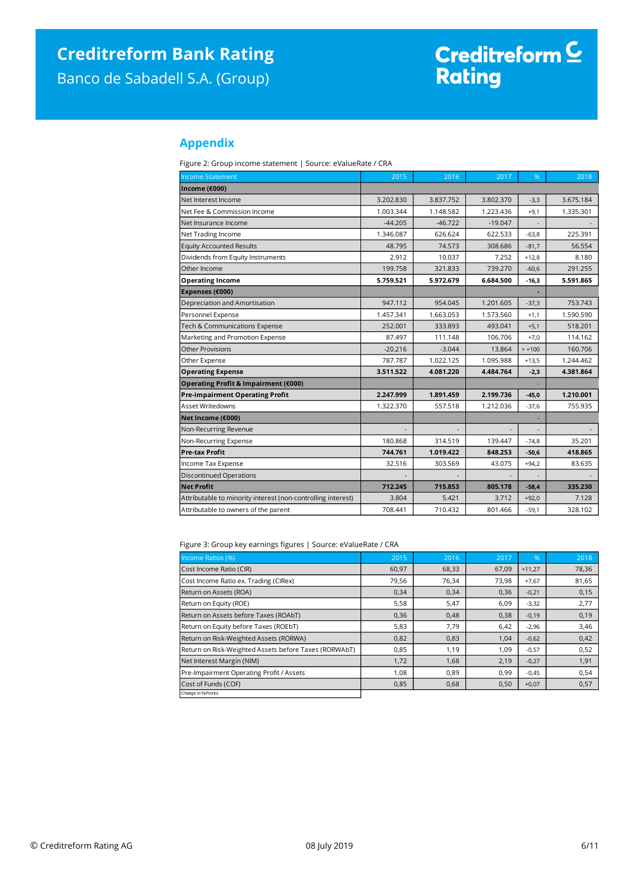# Creditreform C<br>Rating

### **Appendix**

Figure 2: Group income statement | Source: eValueRate / CRA

| <b>Income Statement</b>                                      | 2015      | 2016      | 2017      | %        | 2018      |
|--------------------------------------------------------------|-----------|-----------|-----------|----------|-----------|
| Income (€000)                                                |           |           |           |          |           |
| Net Interest Income                                          | 3.202.830 | 3.837.752 | 3.802.370 | $-3,3$   | 3.675.184 |
| Net Fee & Commission Income                                  | 1.003.344 | 1.148.582 | 1.223.436 | $+9,1$   | 1.335.301 |
| Net Insurance Income                                         | $-44.205$ | $-46.722$ | $-19.047$ |          |           |
| Net Trading Income                                           | 1.346.087 | 626.624   | 622.533   | $-63,8$  | 225.391   |
| <b>Equity Accounted Results</b>                              | 48.795    | 74.573    | 308.686   | $-81,7$  | 56.554    |
| Dividends from Equity Instruments                            | 2.912     | 10.037    | 7.252     | $+12,8$  | 8.180     |
| Other Income                                                 | 199.758   | 321.833   | 739.270   | $-60,6$  | 291.255   |
| <b>Operating Income</b>                                      | 5.759.521 | 5.972.679 | 6.684.500 | $-16,3$  | 5.591.865 |
| Expenses (€000)                                              |           |           |           |          |           |
| Depreciation and Amortisation                                | 947.112   | 954.045   | 1.201.605 | $-37,3$  | 753.743   |
| Personnel Expense                                            | 1.457.341 | 1.663.053 | 1.573.560 | $+1,1$   | 1.590.590 |
| Tech & Communications Expense                                | 252.001   | 333.893   | 493.041   | $+5,1$   | 518.201   |
| Marketing and Promotion Expense                              | 87.497    | 111.148   | 106.706   | $+7,0$   | 114.162   |
| <b>Other Provisions</b>                                      | $-20.216$ | $-3.044$  | 13.864    | $> +100$ | 160.706   |
| Other Expense                                                | 787.787   | 1.022.125 | 1.095.988 | $+13,5$  | 1.244.462 |
| <b>Operating Expense</b>                                     | 3.511.522 | 4.081.220 | 4.484.764 | $-2,3$   | 4.381.864 |
| Operating Profit & Impairment (€000)                         |           |           |           |          |           |
| <b>Pre-impairment Operating Profit</b>                       | 2.247.999 | 1.891.459 | 2.199.736 | $-45,0$  | 1.210.001 |
| Asset Writedowns                                             | 1.322.370 | 557.518   | 1.212.036 | $-37,6$  | 755.935   |
| Net Income (€000)                                            |           |           |           |          |           |
| Non-Recurring Revenue                                        |           |           |           |          |           |
| Non-Recurring Expense                                        | 180.868   | 314.519   | 139.447   | $-74,8$  | 35.201    |
| <b>Pre-tax Profit</b>                                        | 744.761   | 1.019.422 | 848.253   | $-50,6$  | 418.865   |
| Income Tax Expense                                           | 32.516    | 303.569   | 43.075    | $+94,2$  | 83.635    |
| <b>Discontinued Operations</b>                               |           |           |           |          |           |
| <b>Net Profit</b>                                            | 712.245   | 715.853   | 805.178   | $-58,4$  | 335.230   |
| Attributable to minority interest (non-controlling interest) | 3.804     | 5.421     | 3.712     | $+92,0$  | 7.128     |
| Attributable to owners of the parent                         | 708.441   | 710.432   | 801.466   | $-59,1$  | 328.102   |

Figure 3: Group key earnings figures | Source: eValueRate / CRA

| Income Ratios (%)                                     | 2015  | 2016  | 2017  | %        | 2018  |
|-------------------------------------------------------|-------|-------|-------|----------|-------|
| Cost Income Ratio (CIR)                               | 60,97 | 68,33 | 67,09 | $+11,27$ | 78,36 |
| Cost Income Ratio ex. Trading (CIRex)                 | 79,56 | 76,34 | 73,98 | $+7,67$  | 81,65 |
| Return on Assets (ROA)                                | 0,34  | 0,34  | 0,36  | $-0,21$  | 0,15  |
| Return on Equity (ROE)                                | 5,58  | 5,47  | 6,09  | $-3,32$  | 2,77  |
| Return on Assets before Taxes (ROAbT)                 | 0,36  | 0,48  | 0,38  | $-0,19$  | 0,19  |
| Return on Equity before Taxes (ROEbT)                 | 5,83  | 7,79  | 6,42  | $-2,96$  | 3,46  |
| Return on Risk-Weighted Assets (RORWA)                | 0,82  | 0,83  | 1,04  | $-0,62$  | 0,42  |
| Return on Risk-Weighted Assets before Taxes (RORWAbT) | 0,85  | 1,19  | 1,09  | $-0,57$  | 0,52  |
| Net Interest Margin (NIM)                             | 1,72  | 1,68  | 2,19  | $-0,27$  | 1,91  |
| Pre-Impairment Operating Profit / Assets              | 1,08  | 0,89  | 0,99  | $-0.45$  | 0,54  |
| Cost of Funds (COF)                                   | 0,85  | 0,68  | 0,50  | $+0,07$  | 0,57  |
| Change in % Points                                    |       |       |       |          |       |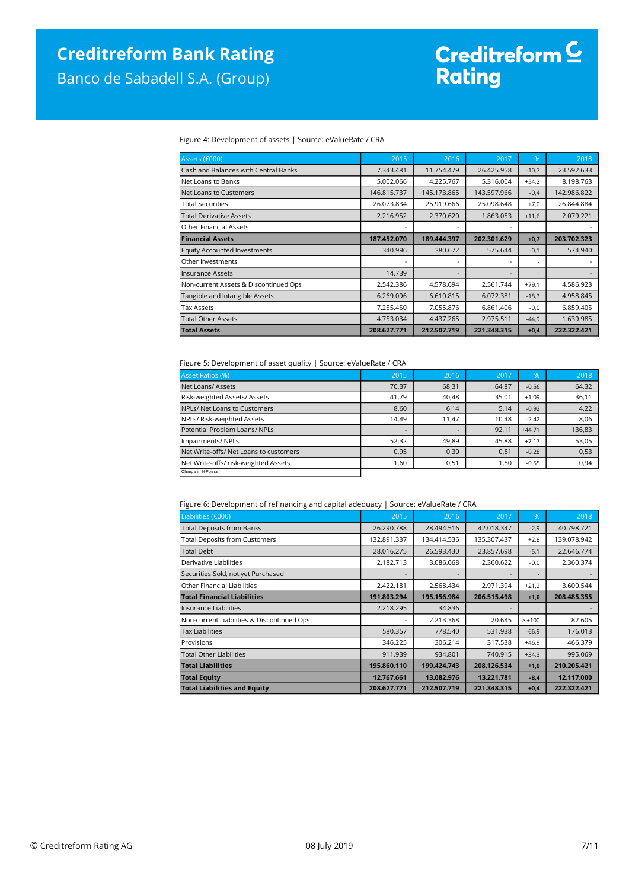# Creditreform <mark>C</mark><br>Rating

#### Figure 4: Development of assets | Source: eValueRate / CRA

| Assets (€000)                         | 2015        | 2016        | 2017        | %                        | 2018        |
|---------------------------------------|-------------|-------------|-------------|--------------------------|-------------|
| Cash and Balances with Central Banks  | 7.343.481   | 11.754.479  | 26.425.958  | $-10,7$                  | 23.592.633  |
| Net Loans to Banks                    | 5.002.066   | 4.225.767   | 5.316.004   | $+54,2$                  | 8.198.763   |
| Net Loans to Customers                | 146.815.737 | 145.173.865 | 143.597.966 | $-0,4$                   | 142.986.822 |
| <b>Total Securities</b>               | 26.073.834  | 25.919.666  | 25.098.648  | $+7,0$                   | 26.844.884  |
| <b>Total Derivative Assets</b>        | 2.216.952   | 2.370.620   | 1.863.053   | $+11,6$                  | 2.079.221   |
| <b>Other Financial Assets</b>         |             |             |             | $\overline{\phantom{a}}$ |             |
| <b>Financial Assets</b>               | 187.452.070 | 189.444.397 | 202.301.629 | $+0,7$                   | 203.702.323 |
| <b>Equity Accounted Investments</b>   | 340.996     | 380.672     | 575.644     | $-0,1$                   | 574.940     |
| Other Investments                     |             | -           |             | $\overline{\phantom{a}}$ |             |
| Insurance Assets                      | 14.739      |             |             | $\overline{\phantom{a}}$ |             |
| Non-current Assets & Discontinued Ops | 2.542.386   | 4.578.694   | 2.561.744   | $+79,1$                  | 4.586.923   |
| Tangible and Intangible Assets        | 6.269.096   | 6.610.815   | 6.072.381   | $-18,3$                  | 4.958.845   |
| <b>Tax Assets</b>                     | 7.255.450   | 7.055.876   | 6.861.406   | $-0,0$                   | 6.859.405   |
| <b>Total Other Assets</b>             | 4.753.034   | 4.437.265   | 2.975.511   | $-44,9$                  | 1.639.985   |
| <b>Total Assets</b>                   | 208.627.771 | 212.507.719 | 221.348.315 | $+0,4$                   | 222.322.421 |

#### Figure 5: Development of asset quality | Source: eValueRate / CRA

| Asset Ratios (%)                       | 2015                     | 2016  | 2017  | %        | 2018   |
|----------------------------------------|--------------------------|-------|-------|----------|--------|
| Net Loans/Assets                       | 70,37                    | 68,31 | 64,87 | $-0,56$  | 64,32  |
| Risk-weighted Assets/ Assets           | 41,79                    | 40,48 | 35,01 | $+1.09$  | 36,11  |
| NPLs/ Net Loans to Customers           | 8,60                     | 6,14  | 5,14  | $-0.92$  | 4,22   |
| NPLs/ Risk-weighted Assets             | 14,49                    | 11,47 | 10.48 | $-2,42$  | 8,06   |
| Potential Problem Loans/ NPLs          | $\overline{\phantom{a}}$ |       | 92.11 | $+44.71$ | 136,83 |
| Impairments/ NPLs                      | 52,32                    | 49,89 | 45,88 | $+7.17$  | 53,05  |
| Net Write-offs/ Net Loans to customers | 0,95                     | 0,30  | 0,81  | $-0,28$  | 0,53   |
| Net Write-offs/ risk-weighted Assets   | 1,60                     | 0,51  | 1,50  | $-0,55$  | 0,94   |
| Change in % Points                     |                          |       |       |          |        |

#### Figure 6: Development of refinancing and capital adequacy | Source: eValueRate / CRA

| Liabilities (€000)                         | 2015        | 2016        | 2017        | %              | 2018        |
|--------------------------------------------|-------------|-------------|-------------|----------------|-------------|
| <b>Total Deposits from Banks</b>           | 26.290.788  | 28.494.516  | 42.018.347  | $-2,9$         | 40.798.721  |
| <b>Total Deposits from Customers</b>       | 132.891.337 | 134.414.536 | 135.307.437 | $+2,8$         | 139.078.942 |
| <b>Total Debt</b>                          | 28.016.275  | 26.593.430  | 23.857.698  | $-5,1$         | 22.646.774  |
| Derivative Liabilities                     | 2.182.713   | 3.086.068   | 2.360.622   | $-0,0$         | 2.360.374   |
| Securities Sold, not yet Purchased         |             |             |             | $\overline{a}$ |             |
| Other Financial Liabilities                | 2.422.181   | 2.568.434   | 2.971.394   | $+21,2$        | 3.600.544   |
| <b>Total Financial Liabilities</b>         | 191.803.294 | 195.156.984 | 206.515.498 | $+1,0$         | 208.485.355 |
| Insurance Liabilities                      | 2.218.295   | 34.836      |             | $\overline{a}$ |             |
| Non-current Liabilities & Discontinued Ops |             | 2.213.368   | 20.645      | $> +100$       | 82.605      |
| <b>Tax Liabilities</b>                     | 580.357     | 778.540     | 531.938     | $-66,9$        | 176.013     |
| Provisions                                 | 346.225     | 306.214     | 317.538     | $+46,9$        | 466.379     |
| <b>Total Other Liabilities</b>             | 911.939     | 934.801     | 740.915     | $+34,3$        | 995.069     |
| <b>Total Liabilities</b>                   | 195.860.110 | 199.424.743 | 208.126.534 | $+1,0$         | 210.205.421 |
| <b>Total Equity</b>                        | 12.767.661  | 13.082.976  | 13.221.781  | $-8,4$         | 12.117.000  |
| <b>Total Liabilities and Equity</b>        | 208.627.771 | 212.507.719 | 221.348.315 | $+0,4$         | 222.322.421 |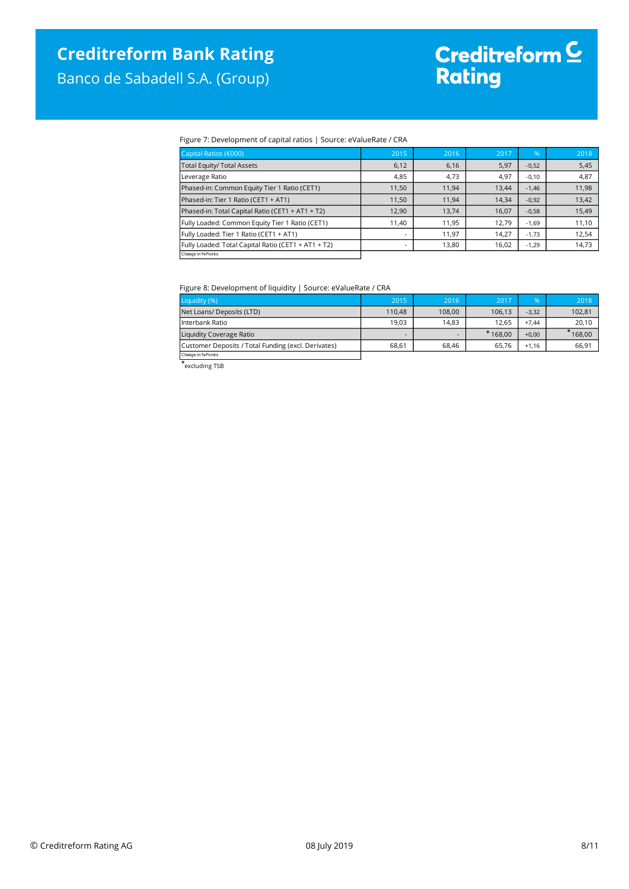Banco de Sabadell S.A. (Group)

# Creditreform <mark>C</mark><br>Rating

#### Figure 7: Development of capital ratios | Source: eValueRate / CRA

| Capital Ratios (€000)                               | 2015                     | 2016  | 2017  | %       | 2018  |
|-----------------------------------------------------|--------------------------|-------|-------|---------|-------|
| <b>Total Equity/ Total Assets</b>                   | 6,12                     | 6,16  | 5,97  | $-0,52$ | 5,45  |
| Leverage Ratio                                      | 4,85                     | 4,73  | 4,97  | $-0,10$ | 4,87  |
| Phased-in: Common Equity Tier 1 Ratio (CET1)        | 11.50                    | 11.94 | 13,44 | $-1.46$ | 11,98 |
| Phased-in: Tier 1 Ratio (CET1 + AT1)                | 11.50                    | 11.94 | 14,34 | $-0,92$ | 13,42 |
| Phased-in: Total Capital Ratio (CET1 + AT1 + T2)    | 12.90                    | 13,74 | 16,07 | $-0,58$ | 15,49 |
| Fully Loaded: Common Equity Tier 1 Ratio (CET1)     | 11.40                    | 11,95 | 12,79 | $-1,69$ | 11,10 |
| Fully Loaded: Tier 1 Ratio (CET1 + AT1)             |                          | 11.97 | 14,27 | $-1.73$ | 12,54 |
| Fully Loaded: Total Capital Ratio (CET1 + AT1 + T2) | $\overline{\phantom{a}}$ | 13,80 | 16,02 | $-1,29$ | 14,73 |
| Change in % Points                                  |                          |       |       |         |       |

#### Figure 8: Development of liquidity | Source: eValueRate / CRA

| Liquidity (%)                                       | 2015                     | 2016   | 2017      | %       | 2018   |
|-----------------------------------------------------|--------------------------|--------|-----------|---------|--------|
| Net Loans/ Deposits (LTD)                           | 110.48                   | 108.00 | 106.13    | $-3,32$ | 102,81 |
| Interbank Ratio                                     | 19.03                    | 14.83  | 12.65     | $+7.44$ | 20,10  |
| Liquidity Coverage Ratio                            | $\overline{\phantom{0}}$ | -      | $*168.00$ | $+0.00$ | 168,00 |
| Customer Deposits / Total Funding (excl. Derivates) | 68.61                    | 68.46  | 65.76     | $+1.16$ | 66.91  |
| Change in % Points                                  |                          |        |           |         |        |

Change in %-Points excluding TSB \*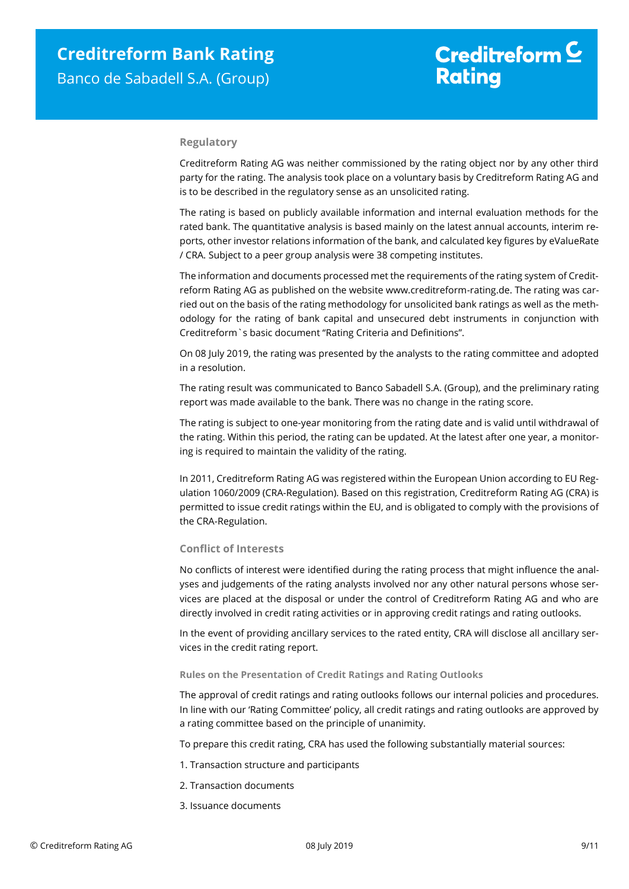#### **Regulatory**

Creditreform Rating AG was neither commissioned by the rating object nor by any other third party for the rating. The analysis took place on a voluntary basis by Creditreform Rating AG and is to be described in the regulatory sense as an unsolicited rating.

The rating is based on publicly available information and internal evaluation methods for the rated bank. The quantitative analysis is based mainly on the latest annual accounts, interim reports, other investor relations information of the bank, and calculated key figures by eValueRate / CRA. Subject to a peer group analysis were 38 competing institutes.

The information and documents processed met the requirements of the rating system of Creditreform Rating AG as published on the website www.creditreform-rating.de. The rating was carried out on the basis of the rating methodology for unsolicited bank ratings as well as the methodology for the rating of bank capital and unsecured debt instruments in conjunction with Creditreform`s basic document "Rating Criteria and Definitions".

On 08 July 2019, the rating was presented by the analysts to the rating committee and adopted in a resolution.

The rating result was communicated to Banco Sabadell S.A. (Group), and the preliminary rating report was made available to the bank. There was no change in the rating score.

The rating is subject to one-year monitoring from the rating date and is valid until withdrawal of the rating. Within this period, the rating can be updated. At the latest after one year, a monitoring is required to maintain the validity of the rating.

In 2011, Creditreform Rating AG was registered within the European Union according to EU Regulation 1060/2009 (CRA-Regulation). Based on this registration, Creditreform Rating AG (CRA) is permitted to issue credit ratings within the EU, and is obligated to comply with the provisions of the CRA-Regulation.

#### **Conflict of Interests**

No conflicts of interest were identified during the rating process that might influence the analyses and judgements of the rating analysts involved nor any other natural persons whose services are placed at the disposal or under the control of Creditreform Rating AG and who are directly involved in credit rating activities or in approving credit ratings and rating outlooks.

In the event of providing ancillary services to the rated entity, CRA will disclose all ancillary services in the credit rating report.

#### **Rules on the Presentation of Credit Ratings and Rating Outlooks**

The approval of credit ratings and rating outlooks follows our internal policies and procedures. In line with our 'Rating Committee' policy, all credit ratings and rating outlooks are approved by a rating committee based on the principle of unanimity.

To prepare this credit rating, CRA has used the following substantially material sources:

- 1. Transaction structure and participants
- 2. Transaction documents
- 3. Issuance documents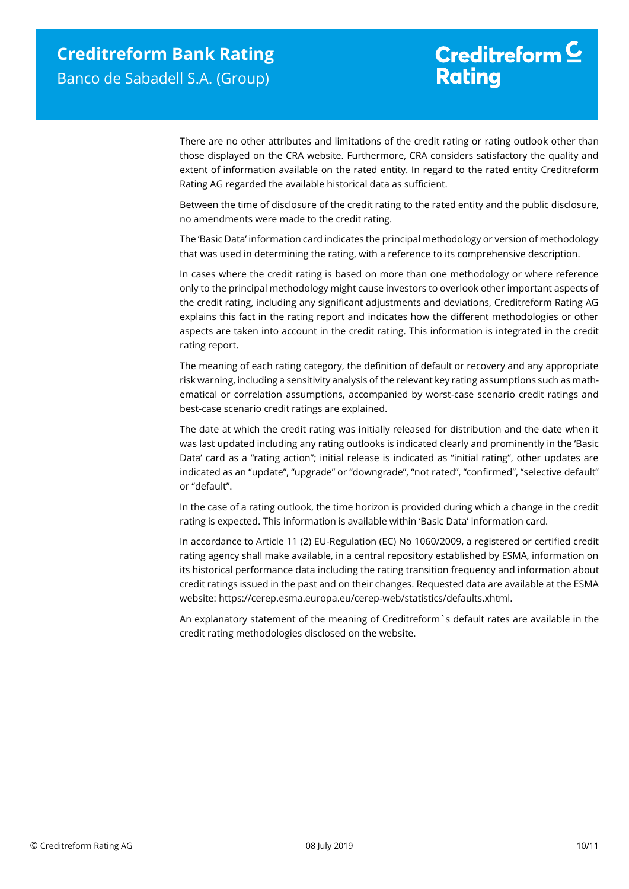## Creditreform  $C$ **Rating**

There are no other attributes and limitations of the credit rating or rating outlook other than those displayed on the CRA website. Furthermore, CRA considers satisfactory the quality and extent of information available on the rated entity. In regard to the rated entity Creditreform Rating AG regarded the available historical data as sufficient.

Between the time of disclosure of the credit rating to the rated entity and the public disclosure, no amendments were made to the credit rating.

The 'Basic Data' information card indicates the principal methodology or version of methodology that was used in determining the rating, with a reference to its comprehensive description.

In cases where the credit rating is based on more than one methodology or where reference only to the principal methodology might cause investors to overlook other important aspects of the credit rating, including any significant adjustments and deviations, Creditreform Rating AG explains this fact in the rating report and indicates how the different methodologies or other aspects are taken into account in the credit rating. This information is integrated in the credit rating report.

The meaning of each rating category, the definition of default or recovery and any appropriate risk warning, including a sensitivity analysis of the relevant key rating assumptions such as mathematical or correlation assumptions, accompanied by worst-case scenario credit ratings and best-case scenario credit ratings are explained.

The date at which the credit rating was initially released for distribution and the date when it was last updated including any rating outlooks is indicated clearly and prominently in the 'Basic Data' card as a "rating action"; initial release is indicated as "initial rating", other updates are indicated as an "update", "upgrade" or "downgrade", "not rated", "confirmed", "selective default" or "default".

In the case of a rating outlook, the time horizon is provided during which a change in the credit rating is expected. This information is available within 'Basic Data' information card.

In accordance to Article 11 (2) EU-Regulation (EC) No 1060/2009, a registered or certified credit rating agency shall make available, in a central repository established by ESMA, information on its historical performance data including the rating transition frequency and information about credit ratings issued in the past and on their changes. Requested data are available at the ESMA website: https://cerep.esma.europa.eu/cerep-web/statistics/defaults.xhtml.

An explanatory statement of the meaning of Creditreform`s default rates are available in the credit rating methodologies disclosed on the website.